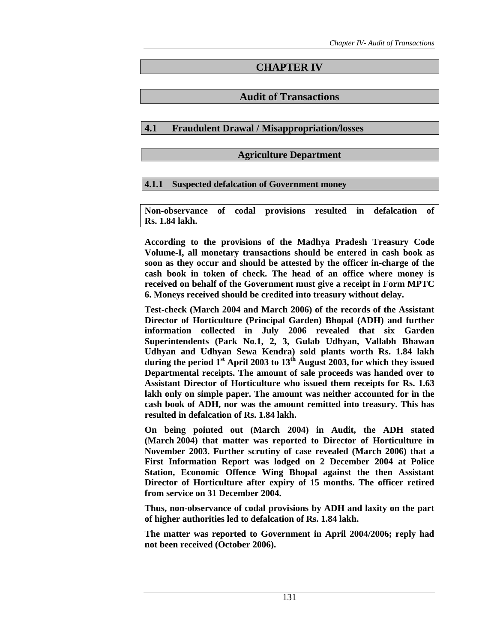# **CHAPTER IV**

# **Audit of Transactions**

# **4.1 Fraudulent Drawal / Misappropriation/losses**

### **Agriculture Department**

# **4.1.1 Suspected defalcation of Government money**

**Non-observance of codal provisions resulted in defalcation of Rs. 1.84 lakh.** 

**According to the provisions of the Madhya Pradesh Treasury Code Volume-I, all monetary transactions should be entered in cash book as soon as they occur and should be attested by the officer in-charge of the cash book in token of check. The head of an office where money is received on behalf of the Government must give a receipt in Form MPTC 6. Moneys received should be credited into treasury without delay.** 

**Test-check (March 2004 and March 2006) of the records of the Assistant Director of Horticulture (Principal Garden) Bhopal (ADH) and further information collected in July 2006 revealed that six Garden Superintendents (Park No.1, 2, 3, Gulab Udhyan, Vallabh Bhawan Udhyan and Udhyan Sewa Kendra) sold plants worth Rs. 1.84 lakh during the period 1st April 2003 to 13th August 2003, for which they issued Departmental receipts. The amount of sale proceeds was handed over to Assistant Director of Horticulture who issued them receipts for Rs. 1.63 lakh only on simple paper. The amount was neither accounted for in the cash book of ADH, nor was the amount remitted into treasury. This has resulted in defalcation of Rs. 1.84 lakh.** 

**On being pointed out (March 2004) in Audit, the ADH stated (March 2004) that matter was reported to Director of Horticulture in November 2003. Further scrutiny of case revealed (March 2006) that a First Information Report was lodged on 2 December 2004 at Police Station, Economic Offence Wing Bhopal against the then Assistant Director of Horticulture after expiry of 15 months. The officer retired from service on 31 December 2004.** 

**Thus, non-observance of codal provisions by ADH and laxity on the part of higher authorities led to defalcation of Rs. 1.84 lakh.** 

**The matter was reported to Government in April 2004/2006; reply had not been received (October 2006).**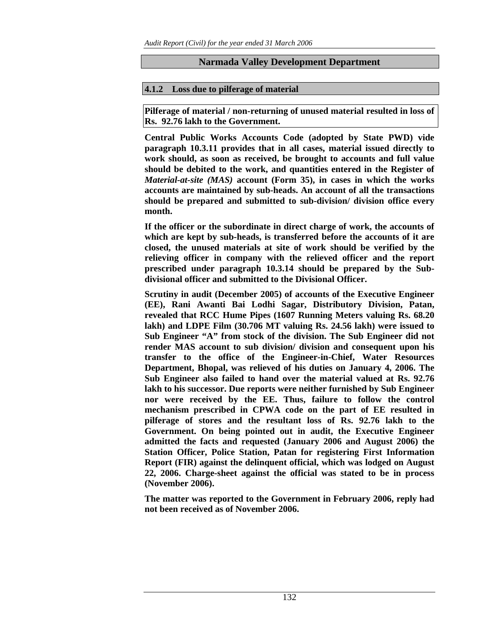# **Narmada Valley Development Department**

# **4.1.2 Loss due to pilferage of material**

**Pilferage of material / non-returning of unused material resulted in loss of Rs. 92.76 lakh to the Government.** 

**Central Public Works Accounts Code (adopted by State PWD) vide paragraph 10.3.11 provides that in all cases, material issued directly to work should, as soon as received, be brought to accounts and full value should be debited to the work, and quantities entered in the Register of** *Material-at-site (MAS)* **account (Form 35), in cases in which the works accounts are maintained by sub-heads. An account of all the transactions should be prepared and submitted to sub-division/ division office every month.** 

**If the officer or the subordinate in direct charge of work, the accounts of which are kept by sub-heads, is transferred before the accounts of it are closed, the unused materials at site of work should be verified by the relieving officer in company with the relieved officer and the report prescribed under paragraph 10.3.14 should be prepared by the Subdivisional officer and submitted to the Divisional Officer.** 

**Scrutiny in audit (December 2005) of accounts of the Executive Engineer (EE), Rani Awanti Bai Lodhi Sagar, Distributory Division, Patan, revealed that RCC Hume Pipes (1607 Running Meters valuing Rs. 68.20 lakh) and LDPE Film (30.706 MT valuing Rs. 24.56 lakh) were issued to Sub Engineer "A" from stock of the division. The Sub Engineer did not render MAS account to sub division/ division and consequent upon his transfer to the office of the Engineer-in-Chief, Water Resources Department, Bhopal, was relieved of his duties on January 4, 2006. The Sub Engineer also failed to hand over the material valued at Rs. 92.76 lakh to his successor. Due reports were neither furnished by Sub Engineer nor were received by the EE. Thus, failure to follow the control mechanism prescribed in CPWA code on the part of EE resulted in pilferage of stores and the resultant loss of Rs. 92.76 lakh to the Government. On being pointed out in audit, the Executive Engineer admitted the facts and requested (January 2006 and August 2006) the Station Officer, Police Station, Patan for registering First Information Report (FIR) against the delinquent official, which was lodged on August 22, 2006. Charge-sheet against the official was stated to be in process (November 2006).** 

**The matter was reported to the Government in February 2006, reply had not been received as of November 2006.**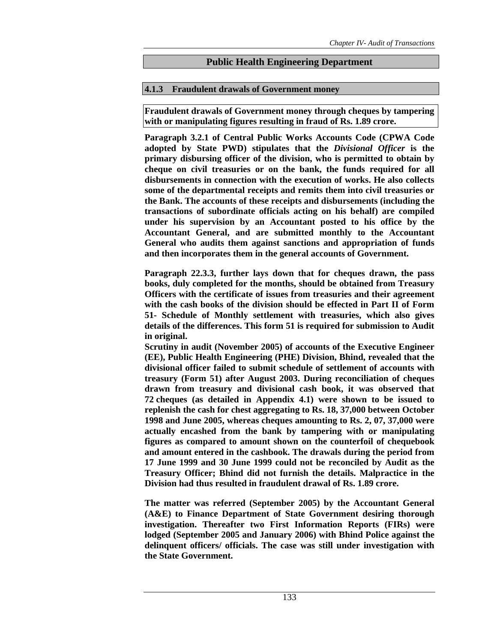# **Public Health Engineering Department**

# **4.1.3 Fraudulent drawals of Government money**

**Fraudulent drawals of Government money through cheques by tampering with or manipulating figures resulting in fraud of Rs. 1.89 crore.** 

**Paragraph 3.2.1 of Central Public Works Accounts Code (CPWA Code adopted by State PWD) stipulates that the** *Divisional Officer* **is the primary disbursing officer of the division, who is permitted to obtain by cheque on civil treasuries or on the bank, the funds required for all disbursements in connection with the execution of works. He also collects some of the departmental receipts and remits them into civil treasuries or the Bank. The accounts of these receipts and disbursements (including the transactions of subordinate officials acting on his behalf) are compiled under his supervision by an Accountant posted to his office by the Accountant General, and are submitted monthly to the Accountant General who audits them against sanctions and appropriation of funds and then incorporates them in the general accounts of Government.** 

**Paragraph 22.3.3, further lays down that for cheques drawn, the pass books, duly completed for the months, should be obtained from Treasury Officers with the certificate of issues from treasuries and their agreement with the cash books of the division should be effected in Part II of Form 51- Schedule of Monthly settlement with treasuries, which also gives details of the differences. This form 51 is required for submission to Audit in original.** 

**Scrutiny in audit (November 2005) of accounts of the Executive Engineer (EE), Public Health Engineering (PHE) Division, Bhind, revealed that the divisional officer failed to submit schedule of settlement of accounts with treasury (Form 51) after August 2003. During reconciliation of cheques drawn from treasury and divisional cash book, it was observed that 72 cheques (as detailed in Appendix 4.1) were shown to be issued to replenish the cash for chest aggregating to Rs. 18, 37,000 between October 1998 and June 2005, whereas cheques amounting to Rs. 2, 07, 37,000 were actually encashed from the bank by tampering with or manipulating figures as compared to amount shown on the counterfoil of chequebook and amount entered in the cashbook. The drawals during the period from 17 June 1999 and 30 June 1999 could not be reconciled by Audit as the Treasury Officer; Bhind did not furnish the details. Malpractice in the Division had thus resulted in fraudulent drawal of Rs. 1.89 crore.** 

**The matter was referred (September 2005) by the Accountant General (A&E) to Finance Department of State Government desiring thorough investigation. Thereafter two First Information Reports (FIRs) were lodged (September 2005 and January 2006) with Bhind Police against the delinquent officers/ officials. The case was still under investigation with the State Government.**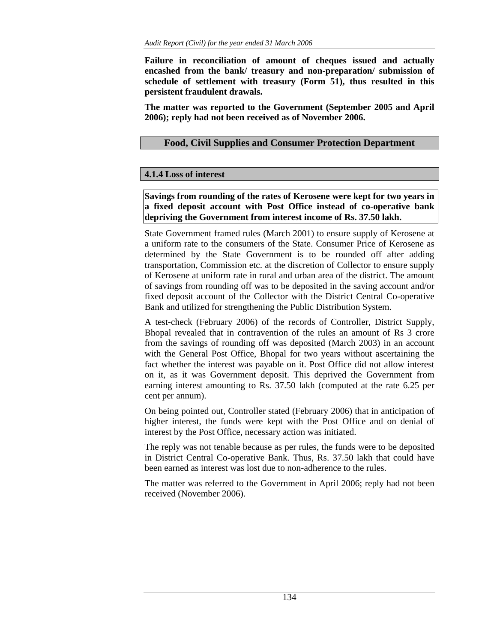**Failure in reconciliation of amount of cheques issued and actually encashed from the bank/ treasury and non-preparation/ submission of schedule of settlement with treasury (Form 51), thus resulted in this persistent fraudulent drawals.** 

**The matter was reported to the Government (September 2005 and April 2006); reply had not been received as of November 2006.** 

# **Food, Civil Supplies and Consumer Protection Department**

# **4.1.4 Loss of interest**

**Savings from rounding of the rates of Kerosene were kept for two years in a fixed deposit account with Post Office instead of co-operative bank depriving the Government from interest income of Rs. 37.50 lakh.** 

State Government framed rules (March 2001) to ensure supply of Kerosene at a uniform rate to the consumers of the State. Consumer Price of Kerosene as determined by the State Government is to be rounded off after adding transportation, Commission etc. at the discretion of Collector to ensure supply of Kerosene at uniform rate in rural and urban area of the district. The amount of savings from rounding off was to be deposited in the saving account and/or fixed deposit account of the Collector with the District Central Co-operative Bank and utilized for strengthening the Public Distribution System.

A test-check (February 2006) of the records of Controller, District Supply, Bhopal revealed that in contravention of the rules an amount of Rs 3 crore from the savings of rounding off was deposited (March 2003) in an account with the General Post Office, Bhopal for two years without ascertaining the fact whether the interest was payable on it. Post Office did not allow interest on it, as it was Government deposit. This deprived the Government from earning interest amounting to Rs. 37.50 lakh (computed at the rate 6.25 per cent per annum).

On being pointed out, Controller stated (February 2006) that in anticipation of higher interest, the funds were kept with the Post Office and on denial of interest by the Post Office, necessary action was initiated.

The reply was not tenable because as per rules, the funds were to be deposited in District Central Co-operative Bank. Thus, Rs. 37.50 lakh that could have been earned as interest was lost due to non-adherence to the rules.

The matter was referred to the Government in April 2006; reply had not been received (November 2006).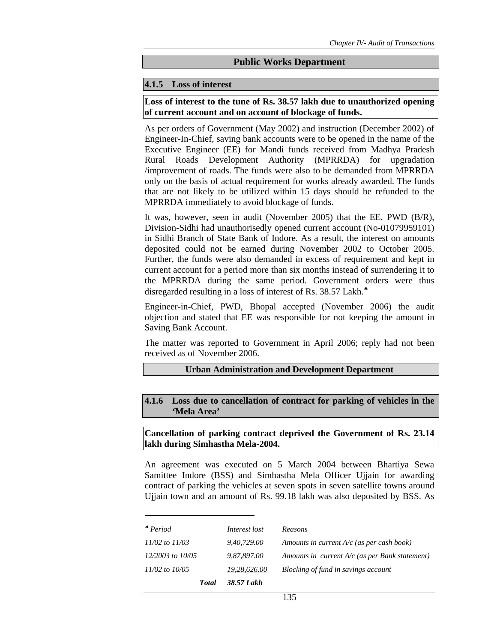### **Public Works Department**

### **4.1.5 Loss of interest**

**Loss of interest to the tune of Rs. 38.57 lakh due to unauthorized opening of current account and on account of blockage of funds.** 

As per orders of Government (May 2002) and instruction (December 2002) of Engineer-In-Chief, saving bank accounts were to be opened in the name of the Executive Engineer (EE) for Mandi funds received from Madhya Pradesh Rural Roads Development Authority (MPRRDA) for upgradation /improvement of roads. The funds were also to be demanded from MPRRDA only on the basis of actual requirement for works already awarded. The funds that are not likely to be utilized within 15 days should be refunded to the MPRRDA immediately to avoid blockage of funds.

It was, however, seen in audit (November 2005) that the EE, PWD (B/R), Division-Sidhi had unauthorisedly opened current account (No-01079959101) in Sidhi Branch of State Bank of Indore. As a result, the interest on amounts deposited could not be earned during November 2002 to October 2005. Further, the funds were also demanded in excess of requirement and kept in current account for a period more than six months instead of surrendering it to the MPRRDA during the same period. Government orders were thus disregarded resulting in a loss of interest of Rs. 38.57 Lakh.<sup>●</sup>

Engineer-in-Chief, PWD, Bhopal accepted (November 2006) the audit objection and stated that EE was responsible for not keeping the amount in Saving Bank Account.

The matter was reported to Government in April 2006; reply had not been received as of November 2006.

### **Urban Administration and Development Department**

**4.1.6 Loss due to cancellation of contract for parking of vehicles in the 'Mela Area'** 

**Cancellation of parking contract deprived the Government of Rs. 23.14 lakh during Simhastha Mela-2004.** 

An agreement was executed on 5 March 2004 between Bhartiya Sewa Samittee Indore (BSS) and Simhastha Mela Officer Ujjain for awarding contract of parking the vehicles at seven spots in seven satellite towns around Ujjain town and an amount of Rs. 99.18 lakh was also deposited by BSS. As

| $^{\bullet}$ Period  | Interest lost | Reasons                                          |
|----------------------|---------------|--------------------------------------------------|
| $11/02$ to $11/03$   | 9,40,729.00   | Amounts in current $A/c$ (as per cash book)      |
| $12/2003$ to $10/05$ | 9,87,897.00   | Amounts in current $A/c$ (as per Bank statement) |
| $11/02$ to $10/05$   | 19,28,626.00  | Blocking of fund in savings account              |
| <b>T</b> otal        | 38.57 Lakh    |                                                  |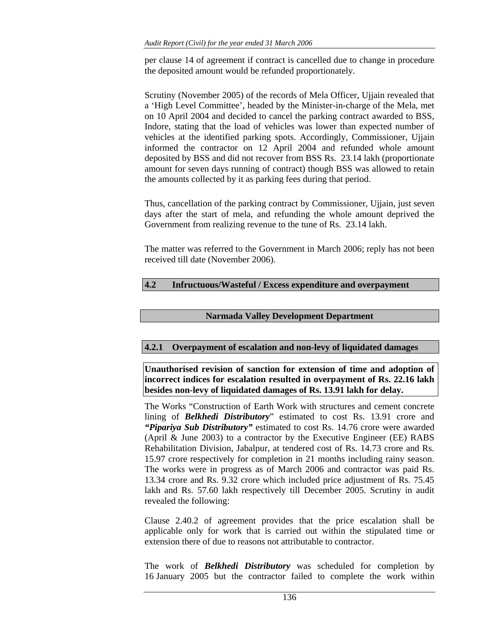per clause 14 of agreement if contract is cancelled due to change in procedure the deposited amount would be refunded proportionately.

Scrutiny (November 2005) of the records of Mela Officer, Ujjain revealed that a 'High Level Committee', headed by the Minister-in-charge of the Mela, met on 10 April 2004 and decided to cancel the parking contract awarded to BSS, Indore, stating that the load of vehicles was lower than expected number of vehicles at the identified parking spots. Accordingly, Commissioner, Ujjain informed the contractor on 12 April 2004 and refunded whole amount deposited by BSS and did not recover from BSS Rs. 23.14 lakh (proportionate amount for seven days running of contract) though BSS was allowed to retain the amounts collected by it as parking fees during that period.

Thus, cancellation of the parking contract by Commissioner, Ujjain, just seven days after the start of mela, and refunding the whole amount deprived the Government from realizing revenue to the tune of Rs. 23.14 lakh.

The matter was referred to the Government in March 2006; reply has not been received till date (November 2006).

# **4.2 Infructuous/Wasteful / Excess expenditure and overpayment**

### **Narmada Valley Development Department**

# **4.2.1 Overpayment of escalation and non-levy of liquidated damages**

**Unauthorised revision of sanction for extension of time and adoption of incorrect indices for escalation resulted in overpayment of Rs. 22.16 lakh besides non-levy of liquidated damages of Rs. 13.91 lakh for delay.** 

The Works "Construction of Earth Work with structures and cement concrete lining of *Belkhedi Distributory*" estimated to cost Rs. 13.91 crore and *"Pipariya Sub Distributory"* estimated to cost Rs. 14.76 crore were awarded (April & June 2003) to a contractor by the Executive Engineer (EE) RABS Rehabilitation Division, Jabalpur, at tendered cost of Rs. 14.73 crore and Rs. 15.97 crore respectively for completion in 21 months including rainy season. The works were in progress as of March 2006 and contractor was paid Rs. 13.34 crore and Rs. 9.32 crore which included price adjustment of Rs. 75.45 lakh and Rs. 57.60 lakh respectively till December 2005. Scrutiny in audit revealed the following:

Clause 2.40.2 of agreement provides that the price escalation shall be applicable only for work that is carried out within the stipulated time or extension there of due to reasons not attributable to contractor.

The work of *Belkhedi Distributory* was scheduled for completion by 16 January 2005 but the contractor failed to complete the work within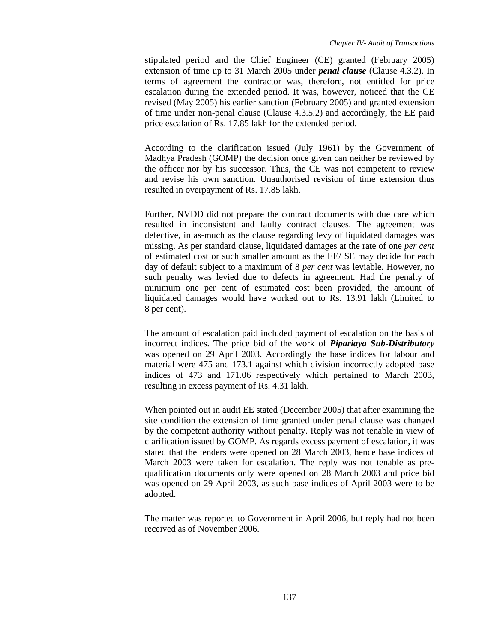stipulated period and the Chief Engineer (CE) granted (February 2005) extension of time up to 31 March 2005 under *penal clause* (Clause 4.3.2). In terms of agreement the contractor was, therefore, not entitled for price escalation during the extended period. It was, however, noticed that the CE revised (May 2005) his earlier sanction (February 2005) and granted extension of time under non-penal clause (Clause 4.3.5.2) and accordingly, the EE paid price escalation of Rs. 17.85 lakh for the extended period.

According to the clarification issued (July 1961) by the Government of Madhya Pradesh (GOMP) the decision once given can neither be reviewed by the officer nor by his successor. Thus, the CE was not competent to review and revise his own sanction. Unauthorised revision of time extension thus resulted in overpayment of Rs. 17.85 lakh.

Further, NVDD did not prepare the contract documents with due care which resulted in inconsistent and faulty contract clauses. The agreement was defective, in as-much as the clause regarding levy of liquidated damages was missing. As per standard clause, liquidated damages at the rate of one *per cent* of estimated cost or such smaller amount as the EE/ SE may decide for each day of default subject to a maximum of 8 *per cent* was leviable. However, no such penalty was levied due to defects in agreement. Had the penalty of minimum one per cent of estimated cost been provided, the amount of liquidated damages would have worked out to Rs. 13.91 lakh (Limited to 8 per cent).

The amount of escalation paid included payment of escalation on the basis of incorrect indices. The price bid of the work of *Pipariaya Sub-Distributory* was opened on 29 April 2003. Accordingly the base indices for labour and material were 475 and 173.1 against which division incorrectly adopted base indices of 473 and 171.06 respectively which pertained to March 2003, resulting in excess payment of Rs. 4.31 lakh.

When pointed out in audit EE stated (December 2005) that after examining the site condition the extension of time granted under penal clause was changed by the competent authority without penalty. Reply was not tenable in view of clarification issued by GOMP. As regards excess payment of escalation, it was stated that the tenders were opened on 28 March 2003, hence base indices of March 2003 were taken for escalation. The reply was not tenable as prequalification documents only were opened on 28 March 2003 and price bid was opened on 29 April 2003, as such base indices of April 2003 were to be adopted.

The matter was reported to Government in April 2006, but reply had not been received as of November 2006.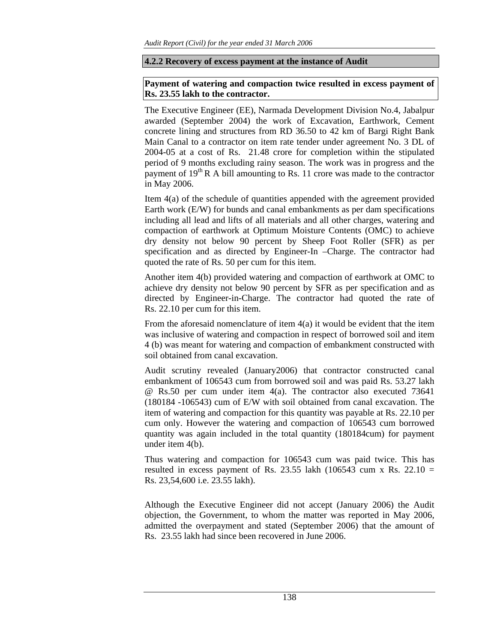### **4.2.2 Recovery of excess payment at the instance of Audit**

# **Payment of watering and compaction twice resulted in excess payment of Rs. 23.55 lakh to the contractor.**

The Executive Engineer (EE), Narmada Development Division No.4, Jabalpur awarded (September 2004) the work of Excavation, Earthwork, Cement concrete lining and structures from RD 36.50 to 42 km of Bargi Right Bank Main Canal to a contractor on item rate tender under agreement No. 3 DL of 2004-05 at a cost of Rs. 21.48 crore for completion within the stipulated period of 9 months excluding rainy season. The work was in progress and the payment of  $19<sup>th</sup>$  R A bill amounting to Rs. 11 crore was made to the contractor in May 2006.

Item 4(a) of the schedule of quantities appended with the agreement provided Earth work (E/W) for bunds and canal embankments as per dam specifications including all lead and lifts of all materials and all other charges, watering and compaction of earthwork at Optimum Moisture Contents (OMC) to achieve dry density not below 90 percent by Sheep Foot Roller (SFR) as per specification and as directed by Engineer-In –Charge. The contractor had quoted the rate of Rs. 50 per cum for this item.

Another item 4(b) provided watering and compaction of earthwork at OMC to achieve dry density not below 90 percent by SFR as per specification and as directed by Engineer-in-Charge. The contractor had quoted the rate of Rs. 22.10 per cum for this item.

From the aforesaid nomenclature of item 4(a) it would be evident that the item was inclusive of watering and compaction in respect of borrowed soil and item 4 (b) was meant for watering and compaction of embankment constructed with soil obtained from canal excavation.

Audit scrutiny revealed (January2006) that contractor constructed canal embankment of 106543 cum from borrowed soil and was paid Rs. 53.27 lakh @ Rs.50 per cum under item 4(a). The contractor also executed 73641 (180184 -106543) cum of E/W with soil obtained from canal excavation. The item of watering and compaction for this quantity was payable at Rs. 22.10 per cum only. However the watering and compaction of 106543 cum borrowed quantity was again included in the total quantity (180184cum) for payment under item 4(b).

Thus watering and compaction for 106543 cum was paid twice. This has resulted in excess payment of Rs. 23.55 lakh (106543 cum x Rs. 22.10 = Rs. 23,54,600 i.e. 23.55 lakh).

Although the Executive Engineer did not accept (January 2006) the Audit objection, the Government, to whom the matter was reported in May 2006, admitted the overpayment and stated (September 2006) that the amount of Rs. 23.55 lakh had since been recovered in June 2006.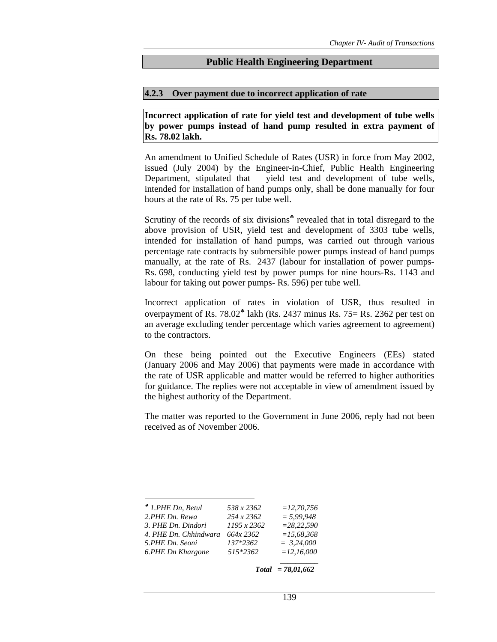### **Public Health Engineering Department**

#### **4.2.3 Over payment due to incorrect application of rate**

**Incorrect application of rate for yield test and development of tube wells by power pumps instead of hand pump resulted in extra payment of Rs. 78.02 lakh.** 

An amendment to Unified Schedule of Rates (USR) in force from May 2002, issued (July 2004) by the Engineer-in-Chief, Public Health Engineering Department, stipulated that yield test and development of tube wells, intended for installation of hand pumps onl**y**, shall be done manually for four hours at the rate of Rs. 75 per tube well.

Scrutiny of the records of six divisions<sup>\*</sup> revealed that in total disregard to the above provision of USR, yield test and development of 3303 tube wells, intended for installation of hand pumps, was carried out through various percentage rate contracts by submersible power pumps instead of hand pumps manually, at the rate of Rs. 2437 (labour for installation of power pumps-Rs. 698, conducting yield test by power pumps for nine hours-Rs. 1143 and labour for taking out power pumps- Rs. 596) per tube well.

Incorrect application of rates in violation of USR, thus resulted in overpayment of Rs.  $78.02^*$  lakh (Rs. 2437 minus Rs.  $75=$  Rs. 2362 per test on an average excluding tender percentage which varies agreement to agreement) to the contractors.

On these being pointed out the Executive Engineers (EEs) stated (January 2006 and May 2006) that payments were made in accordance with the rate of USR applicable and matter would be referred to higher authorities for guidance. The replies were not acceptable in view of amendment issued by the highest authority of the Department.

The matter was reported to the Government in June 2006, reply had not been received as of November 2006.

| $*$ 1.PHE Dn, Betul   | 538 x 2362  | $= 12.70.756$ |
|-----------------------|-------------|---------------|
| 2.PHE Dn. Rewa        | 254 x 2362  | $= 5.99.948$  |
| 3. PHE Dn. Dindori    | 1195 x 2362 | $= 28.22.590$ |
| 4. PHE Dn. Chhindwara | 664x 2362   | $=15.68.368$  |
| 5.PHE Dn. Seoni       | 137*2362    | $= 3.24,000$  |
| 6.PHE Dn Khargone     | 515*2362    | $=12,16,000$  |
|                       |             |               |

 *Total = 78,01,662*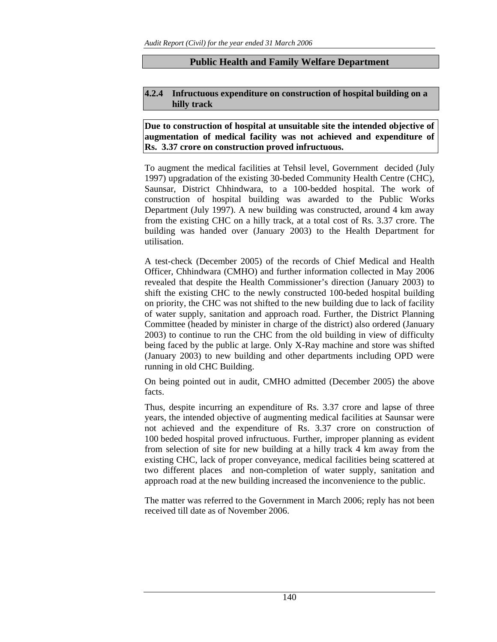# **Public Health and Family Welfare Department**

### **4.2.4 Infructuous expenditure on construction of hospital building on a hilly track**

### **Due to construction of hospital at unsuitable site the intended objective of augmentation of medical facility was not achieved and expenditure of Rs. 3.37 crore on construction proved infructuous.**

To augment the medical facilities at Tehsil level, Government decided (July 1997) upgradation of the existing 30-beded Community Health Centre (CHC), Saunsar, District Chhindwara, to a 100-bedded hospital. The work of construction of hospital building was awarded to the Public Works Department (July 1997). A new building was constructed, around 4 km away from the existing CHC on a hilly track, at a total cost of Rs. 3.37 crore. The building was handed over (January 2003) to the Health Department for utilisation.

A test-check (December 2005) of the records of Chief Medical and Health Officer, Chhindwara (CMHO) and further information collected in May 2006 revealed that despite the Health Commissioner's direction (January 2003) to shift the existing CHC to the newly constructed 100-beded hospital building on priority, the CHC was not shifted to the new building due to lack of facility of water supply, sanitation and approach road. Further, the District Planning Committee (headed by minister in charge of the district) also ordered (January 2003) to continue to run the CHC from the old building in view of difficulty being faced by the public at large. Only X-Ray machine and store was shifted (January 2003) to new building and other departments including OPD were running in old CHC Building.

On being pointed out in audit, CMHO admitted (December 2005) the above facts.

Thus, despite incurring an expenditure of Rs. 3.37 crore and lapse of three years, the intended objective of augmenting medical facilities at Saunsar were not achieved and the expenditure of Rs. 3.37 crore on construction of 100 beded hospital proved infructuous. Further, improper planning as evident from selection of site for new building at a hilly track 4 km away from the existing CHC, lack of proper conveyance, medical facilities being scattered at two different places and non-completion of water supply, sanitation and approach road at the new building increased the inconvenience to the public.

The matter was referred to the Government in March 2006; reply has not been received till date as of November 2006.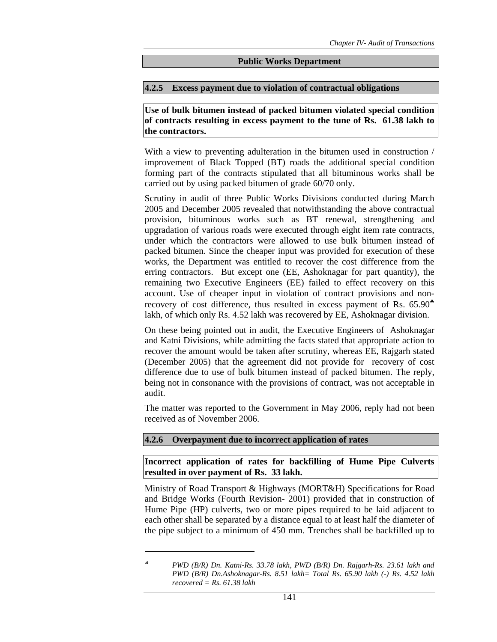### **Public Works Department**

### **4.2.5 Excess payment due to violation of contractual obligations**

**Use of bulk bitumen instead of packed bitumen violated special condition of contracts resulting in excess payment to the tune of Rs. 61.38 lakh to the contractors.** 

With a view to preventing adulteration in the bitumen used in construction / improvement of Black Topped (BT) roads the additional special condition forming part of the contracts stipulated that all bituminous works shall be carried out by using packed bitumen of grade 60/70 only.

Scrutiny in audit of three Public Works Divisions conducted during March 2005 and December 2005 revealed that notwithstanding the above contractual provision, bituminous works such as BT renewal, strengthening and upgradation of various roads were executed through eight item rate contracts, under which the contractors were allowed to use bulk bitumen instead of packed bitumen. Since the cheaper input was provided for execution of these works, the Department was entitled to recover the cost difference from the erring contractors. But except one (EE, Ashoknagar for part quantity), the remaining two Executive Engineers (EE) failed to effect recovery on this account. Use of cheaper input in violation of contract provisions and nonrecovery of cost difference, thus resulted in excess payment of Rs.  $65.90*$ lakh, of which only Rs. 4.52 lakh was recovered by EE, Ashoknagar division.

On these being pointed out in audit, the Executive Engineers of Ashoknagar and Katni Divisions, while admitting the facts stated that appropriate action to recover the amount would be taken after scrutiny, whereas EE, Rajgarh stated (December 2005) that the agreement did not provide for recovery of cost difference due to use of bulk bitumen instead of packed bitumen. The reply, being not in consonance with the provisions of contract, was not acceptable in audit.

The matter was reported to the Government in May 2006, reply had not been received as of November 2006.

# **4.2.6 Overpayment due to incorrect application of rates**

 $\overline{a}$ 

**Incorrect application of rates for backfilling of Hume Pipe Culverts resulted in over payment of Rs. 33 lakh.** 

Ministry of Road Transport & Highways (MORT&H) Specifications for Road and Bridge Works (Fourth Revision- 2001) provided that in construction of Hume Pipe (HP) culverts, two or more pipes required to be laid adjacent to each other shall be separated by a distance equal to at least half the diameter of the pipe subject to a minimum of 450 mm. Trenches shall be backfilled up to

<sup>♣</sup> *PWD (B/R) Dn. Katni-Rs. 33.78 lakh, PWD (B/R) Dn. Rajgarh-Rs. 23.61 lakh and PWD (B/R) Dn.Ashoknagar-Rs. 8.51 lakh= Total Rs. 65.90 lakh (-) Rs. 4.52 lakh recovered = Rs. 61.38 lakh*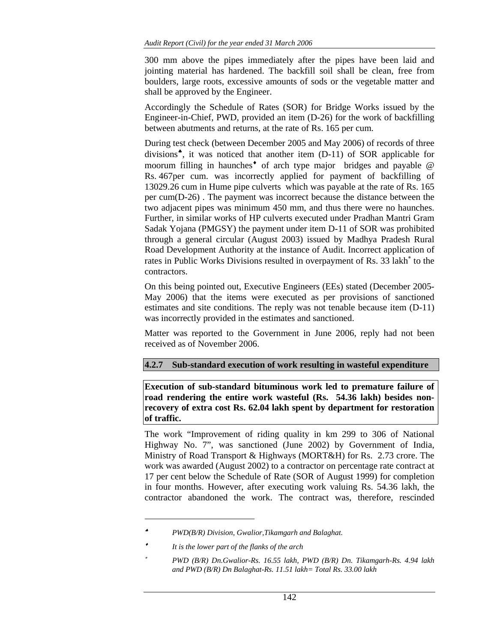300 mm above the pipes immediately after the pipes have been laid and jointing material has hardened. The backfill soil shall be clean, free from boulders, large roots, excessive amounts of sods or the vegetable matter and shall be approved by the Engineer.

Accordingly the Schedule of Rates (SOR) for Bridge Works issued by the Engineer-in-Chief, PWD, provided an item (D-26) for the work of backfilling between abutments and returns, at the rate of Rs. 165 per cum.

During test check (between December 2005 and May 2006) of records of three divisions♠, it was noticed that another item (D-11) of SOR applicable for moorum filling in haunches<sup> $\bullet$ </sup> of arch type major bridges and payable  $\circledR$ Rs. 467per cum. was incorrectly applied for payment of backfilling of 13029.26 cum in Hume pipe culverts which was payable at the rate of Rs. 165 per cum(D-26) . The payment was incorrect because the distance between the two adjacent pipes was minimum 450 mm, and thus there were no haunches. Further, in similar works of HP culverts executed under Pradhan Mantri Gram Sadak Yojana (PMGSY) the payment under item D-11 of SOR was prohibited through a general circular (August 2003) issued by Madhya Pradesh Rural Road Development Authority at the instance of Audit. Incorrect application of rates in Public Works Divisions resulted in overpayment of Rs. 33 lakh<sup>∗</sup> to the contractors.

On this being pointed out, Executive Engineers (EEs) stated (December 2005- May 2006) that the items were executed as per provisions of sanctioned estimates and site conditions. The reply was not tenable because item (D-11) was incorrectly provided in the estimates and sanctioned.

Matter was reported to the Government in June 2006, reply had not been received as of November 2006.

# **4.2.7 Sub-standard execution of work resulting in wasteful expenditure**

**Execution of sub-standard bituminous work led to premature failure of road rendering the entire work wasteful (Rs. 54.36 lakh) besides nonrecovery of extra cost Rs. 62.04 lakh spent by department for restoration of traffic.** 

The work "Improvement of riding quality in km 299 to 306 of National Highway No. 7", was sanctioned (June 2002) by Government of India, Ministry of Road Transport & Highways (MORT&H) for Rs. 2.73 crore. The work was awarded (August 2002) to a contractor on percentage rate contract at 17 per cent below the Schedule of Rate (SOR of August 1999) for completion in four months. However, after executing work valuing Rs. 54.36 lakh, the contractor abandoned the work. The contract was, therefore, rescinded

 $\overline{a}$ 

<sup>♠</sup> *PWD(B/R) Division, Gwalior,Tikamgarh and Balaghat.* 

<sup>♦</sup> *It is the lower part of the flanks of the arch* 

<sup>∗</sup> *PWD (B/R) Dn.Gwalior-Rs. 16.55 lakh, PWD (B/R) Dn. Tikamgarh-Rs. 4.94 lakh and PWD (B/R) Dn Balaghat-Rs. 11.51 lakh= Total Rs. 33.00 lakh*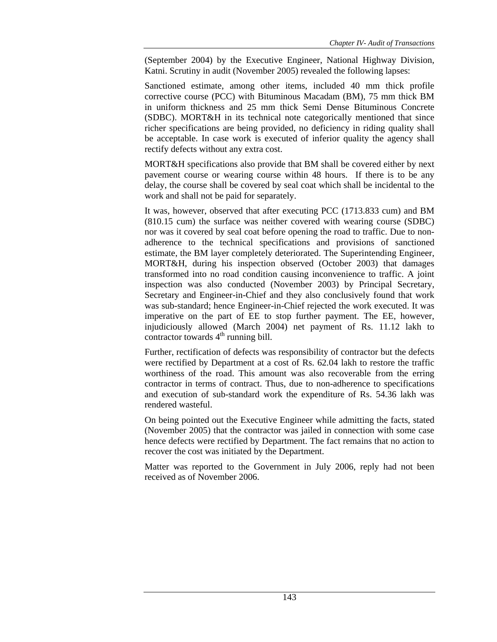(September 2004) by the Executive Engineer, National Highway Division, Katni. Scrutiny in audit (November 2005) revealed the following lapses:

Sanctioned estimate, among other items, included 40 mm thick profile corrective course (PCC) with Bituminous Macadam (BM), 75 mm thick BM in uniform thickness and 25 mm thick Semi Dense Bituminous Concrete (SDBC). MORT&H in its technical note categorically mentioned that since richer specifications are being provided, no deficiency in riding quality shall be acceptable. In case work is executed of inferior quality the agency shall rectify defects without any extra cost.

MORT&H specifications also provide that BM shall be covered either by next pavement course or wearing course within 48 hours. If there is to be any delay, the course shall be covered by seal coat which shall be incidental to the work and shall not be paid for separately.

It was, however, observed that after executing PCC (1713.833 cum) and BM (810.15 cum) the surface was neither covered with wearing course (SDBC) nor was it covered by seal coat before opening the road to traffic. Due to nonadherence to the technical specifications and provisions of sanctioned estimate, the BM layer completely deteriorated. The Superintending Engineer, MORT&H, during his inspection observed (October 2003) that damages transformed into no road condition causing inconvenience to traffic. A joint inspection was also conducted (November 2003) by Principal Secretary, Secretary and Engineer-in-Chief and they also conclusively found that work was sub-standard; hence Engineer-in-Chief rejected the work executed. It was imperative on the part of EE to stop further payment. The EE, however, injudiciously allowed (March 2004) net payment of Rs. 11.12 lakh to contractor towards  $4<sup>th</sup>$  running bill.

Further, rectification of defects was responsibility of contractor but the defects were rectified by Department at a cost of Rs. 62.04 lakh to restore the traffic worthiness of the road. This amount was also recoverable from the erring contractor in terms of contract. Thus, due to non-adherence to specifications and execution of sub-standard work the expenditure of Rs. 54.36 lakh was rendered wasteful.

On being pointed out the Executive Engineer while admitting the facts, stated (November 2005) that the contractor was jailed in connection with some case hence defects were rectified by Department. The fact remains that no action to recover the cost was initiated by the Department.

Matter was reported to the Government in July 2006, reply had not been received as of November 2006.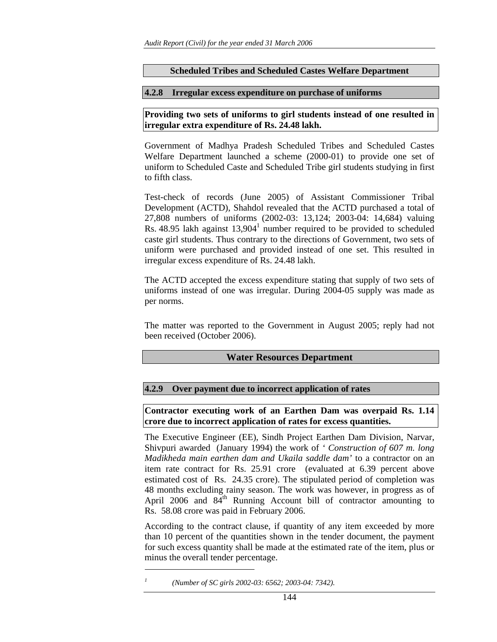### **Scheduled Tribes and Scheduled Castes Welfare Department**

### **4.2.8 Irregular excess expenditure on purchase of uniforms**

**Providing two sets of uniforms to girl students instead of one resulted in irregular extra expenditure of Rs. 24.48 lakh.** 

Government of Madhya Pradesh Scheduled Tribes and Scheduled Castes Welfare Department launched a scheme (2000-01) to provide one set of uniform to Scheduled Caste and Scheduled Tribe girl students studying in first to fifth class.

Test-check of records (June 2005) of Assistant Commissioner Tribal Development (ACTD), Shahdol revealed that the ACTD purchased a total of 27,808 numbers of uniforms (2002-03: 13,124; 2003-04: 14,684) valuing Rs. 48.95 lakh against  $13,904<sup>1</sup>$  number required to be provided to scheduled caste girl students. Thus contrary to the directions of Government, two sets of uniform were purchased and provided instead of one set. This resulted in irregular excess expenditure of Rs. 24.48 lakh.

The ACTD accepted the excess expenditure stating that supply of two sets of uniforms instead of one was irregular. During 2004-05 supply was made as per norms.

The matter was reported to the Government in August 2005; reply had not been received (October 2006).

### **Water Resources Department**

### **4.2.9 Over payment due to incorrect application of rates**

**Contractor executing work of an Earthen Dam was overpaid Rs. 1.14 crore due to incorrect application of rates for excess quantities.** 

The Executive Engineer (EE), Sindh Project Earthen Dam Division, Narvar, Shivpuri awarded (January 1994) the work of *' Construction of 607 m. long Madikheda main earthen dam and Ukaila saddle dam'* to a contractor on an item rate contract for Rs. 25.91 crore (evaluated at 6.39 percent above estimated cost of Rs. 24.35 crore). The stipulated period of completion was 48 months excluding rainy season. The work was however, in progress as of April 2006 and  $84<sup>th</sup>$  Running Account bill of contractor amounting to Rs. 58.08 crore was paid in February 2006.

According to the contract clause, if quantity of any item exceeded by more than 10 percent of the quantities shown in the tender document, the payment for such excess quantity shall be made at the estimated rate of the item, plus or minus the overall tender percentage.

 $\overline{a}$ 

*<sup>1</sup> (Number of SC girls 2002-03: 6562; 2003-04: 7342).*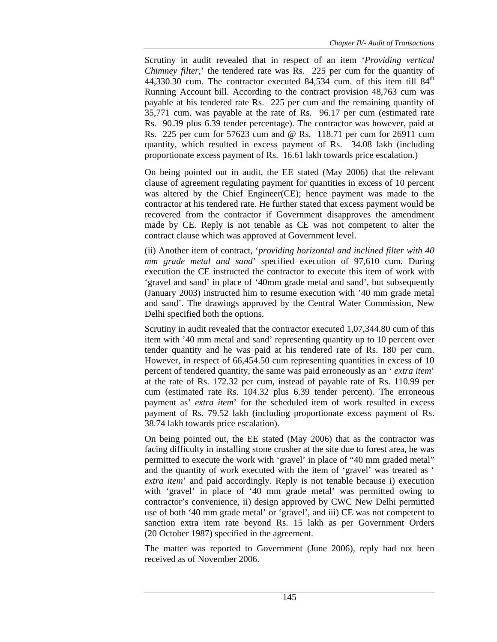Scrutiny in audit revealed that in respect of an item '*Providing vertical Chimney filter,*' the tendered rate was Rs. 225 per cum for the quantity of 44,330.30 cum. The contractor executed  $84,534$  cum. of this item till  $84<sup>th</sup>$ Running Account bill. According to the contract provision 48,763 cum was payable at his tendered rate Rs. 225 per cum and the remaining quantity of 35,771 cum. was payable at the rate of Rs. 96.17 per cum (estimated rate Rs. 90.39 plus 6.39 tender percentage). The contractor was however, paid at Rs. 225 per cum for 57623 cum and @ Rs. 118.71 per cum for 26911 cum quantity, which resulted in excess payment of Rs. 34.08 lakh (including proportionate excess payment of Rs. 16.61 lakh towards price escalation.)

On being pointed out in audit, the EE stated (May 2006) that the relevant clause of agreement regulating payment for quantities in excess of 10 percent was altered by the Chief Engineer(CE); hence payment was made to the contractor at his tendered rate. He further stated that excess payment would be recovered from the contractor if Government disapproves the amendment made by CE. Reply is not tenable as CE was not competent to alter the contract clause which was approved at Government level.

(ii) Another item of contract, '*providing horizontal and inclined filter with 40 mm grade metal and sand*' specified execution of 97,610 cum. During execution the CE instructed the contractor to execute this item of work with 'gravel and sand' in place of '40mm grade metal and sand', but subsequently (January 2003) instructed him to resume execution with '40 mm grade metal and sand'. The drawings approved by the Central Water Commission, New Delhi specified both the options.

Scrutiny in audit revealed that the contractor executed 1,07,344.80 cum of this item with '40 mm metal and sand' representing quantity up to 10 percent over tender quantity and he was paid at his tendered rate of Rs. 180 per cum. However, in respect of 66,454.50 cum representing quantities in excess of 10 percent of tendered quantity, the same was paid erroneously as an ' *extra item*' at the rate of Rs. 172.32 per cum, instead of payable rate of Rs. 110.99 per cum (estimated rate Rs. 104.32 plus 6.39 tender percent). The erroneous payment as' *extra item*' for the scheduled item of work resulted in excess payment of Rs. 79.52 lakh (including proportionate excess payment of Rs. 38.74 lakh towards price escalation).

On being pointed out, the EE stated (May 2006) that as the contractor was facing difficulty in installing stone crusher at the site due to forest area, he was permitted to execute the work with 'gravel' in place of "40 mm graded metal" and the quantity of work executed with the item of 'gravel' was treated as ' *extra item*' and paid accordingly. Reply is not tenable because i) execution with 'gravel' in place of '40 mm grade metal' was permitted owing to contractor's convenience, ii) design approved by CWC New Delhi permitted use of both '40 mm grade metal' or 'gravel', and iii) CE was not competent to sanction extra item rate beyond Rs. 15 lakh as per Government Orders (20 October 1987) specified in the agreement.

The matter was reported to Government (June 2006), reply had not been received as of November 2006.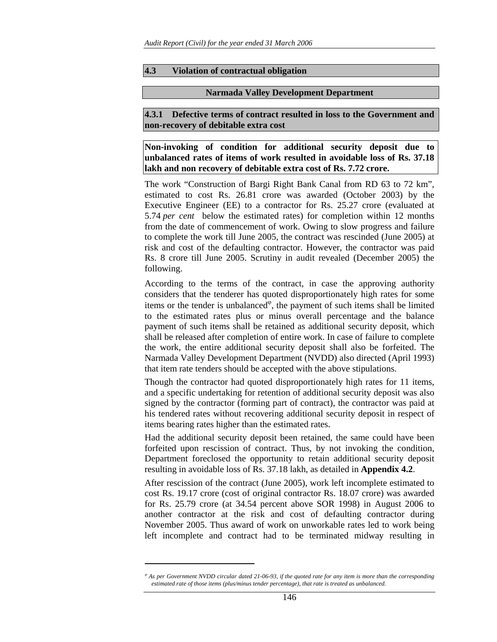#### **4.3 Violation of contractual obligation**

#### **Narmada Valley Development Department**

**4.3.1 Defective terms of contract resulted in loss to the Government and non-recovery of debitable extra cost** 

**Non-invoking of condition for additional security deposit due to unbalanced rates of items of work resulted in avoidable loss of Rs. 37.18 lakh and non recovery of debitable extra cost of Rs. 7.72 crore.** 

The work "Construction of Bargi Right Bank Canal from RD 63 to 72 km", estimated to cost Rs. 26.81 crore was awarded (October 2003) by the Executive Engineer (EE) to a contractor for Rs. 25.27 crore (evaluated at 5.74 *per cent* below the estimated rates) for completion within 12 months from the date of commencement of work. Owing to slow progress and failure to complete the work till June 2005, the contract was rescinded (June 2005) at risk and cost of the defaulting contractor. However, the contractor was paid Rs. 8 crore till June 2005. Scrutiny in audit revealed (December 2005) the following.

According to the terms of the contract, in case the approving authority considers that the tenderer has quoted disproportionately high rates for some items or the tender is unbalanced $\varphi$ , the payment of such items shall be limited to the estimated rates plus or minus overall percentage and the balance payment of such items shall be retained as additional security deposit, which shall be released after completion of entire work. In case of failure to complete the work, the entire additional security deposit shall also be forfeited. The Narmada Valley Development Department (NVDD) also directed (April 1993) that item rate tenders should be accepted with the above stipulations.

Though the contractor had quoted disproportionately high rates for 11 items, and a specific undertaking for retention of additional security deposit was also signed by the contractor (forming part of contract), the contractor was paid at his tendered rates without recovering additional security deposit in respect of items bearing rates higher than the estimated rates.

Had the additional security deposit been retained, the same could have been forfeited upon rescission of contract. Thus, by not invoking the condition, Department foreclosed the opportunity to retain additional security deposit resulting in avoidable loss of Rs. 37.18 lakh, as detailed in **Appendix 4.2**.

After rescission of the contract (June 2005), work left incomplete estimated to cost Rs. 19.17 crore (cost of original contractor Rs. 18.07 crore) was awarded for Rs. 25.79 crore (at 34.54 percent above SOR 1998) in August 2006 to another contractor at the risk and cost of defaulting contractor during November 2005. Thus award of work on unworkable rates led to work being left incomplete and contract had to be terminated midway resulting in

 $\overline{a}$ 

<sup>ϕ</sup> *As per Government NVDD circular dated 21-06-93, if the quoted rate for any item is more than the corresponding estimated rate of those items (plus/minus tender percentage), that rate is treated as unbalanced.*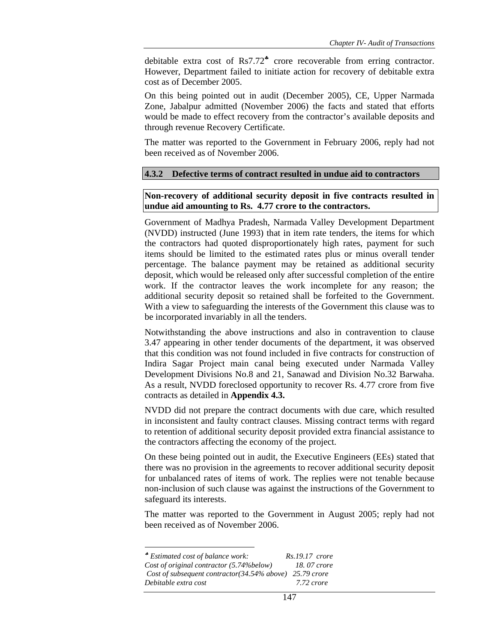debitable extra cost of Rs7.72♣ crore recoverable from erring contractor. However, Department failed to initiate action for recovery of debitable extra cost as of December 2005.

On this being pointed out in audit (December 2005), CE, Upper Narmada Zone, Jabalpur admitted (November 2006) the facts and stated that efforts would be made to effect recovery from the contractor's available deposits and through revenue Recovery Certificate.

The matter was reported to the Government in February 2006, reply had not been received as of November 2006.

#### **4.3.2 Defective terms of contract resulted in undue aid to contractors**

### **Non-recovery of additional security deposit in five contracts resulted in undue aid amounting to Rs. 4.77 crore to the contractors.**

Government of Madhya Pradesh, Narmada Valley Development Department (NVDD) instructed (June 1993) that in item rate tenders, the items for which the contractors had quoted disproportionately high rates, payment for such items should be limited to the estimated rates plus or minus overall tender percentage. The balance payment may be retained as additional security deposit, which would be released only after successful completion of the entire work. If the contractor leaves the work incomplete for any reason; the additional security deposit so retained shall be forfeited to the Government. With a view to safeguarding the interests of the Government this clause was to be incorporated invariably in all the tenders.

Notwithstanding the above instructions and also in contravention to clause 3.47 appearing in other tender documents of the department, it was observed that this condition was not found included in five contracts for construction of Indira Sagar Project main canal being executed under Narmada Valley Development Divisions No.8 and 21, Sanawad and Division No.32 Barwaha. As a result, NVDD foreclosed opportunity to recover Rs. 4.77 crore from five contracts as detailed in **Appendix 4.3.**

NVDD did not prepare the contract documents with due care, which resulted in inconsistent and faulty contract clauses. Missing contract terms with regard to retention of additional security deposit provided extra financial assistance to the contractors affecting the economy of the project.

On these being pointed out in audit, the Executive Engineers (EEs) stated that there was no provision in the agreements to recover additional security deposit for unbalanced rates of items of work. The replies were not tenable because non-inclusion of such clause was against the instructions of the Government to safeguard its interests.

The matter was reported to the Government in August 2005; reply had not been received as of November 2006.

l ♣ *Estimated cost of balance work: Rs.19.17 crore Cost of original contractor (5.74%below) 18. 07 crore Cost of subsequent contractor(34.54% above) 25.79 crore Debitable extra cost 7.72 crore*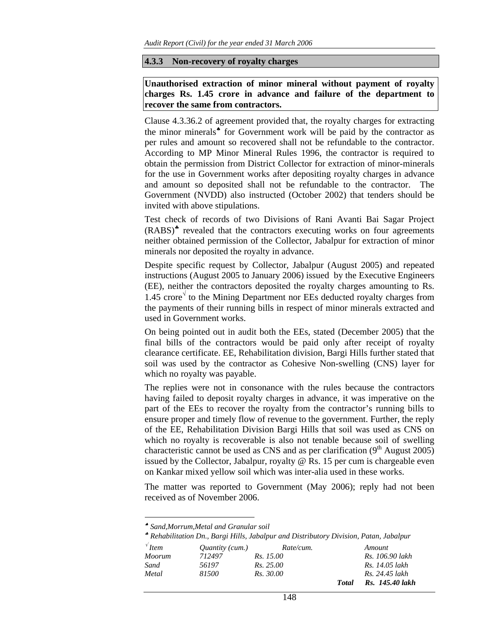#### **4.3.3 Non-recovery of royalty charges**

**Unauthorised extraction of minor mineral without payment of royalty charges Rs. 1.45 crore in advance and failure of the department to recover the same from contractors.** 

Clause 4.3.36.2 of agreement provided that, the royalty charges for extracting the minor minerals<sup>★</sup> for Government work will be paid by the contractor as per rules and amount so recovered shall not be refundable to the contractor. According to MP Minor Mineral Rules 1996, the contractor is required to obtain the permission from District Collector for extraction of minor-minerals for the use in Government works after depositing royalty charges in advance and amount so deposited shall not be refundable to the contractor. The Government (NVDD) also instructed (October 2002) that tenders should be invited with above stipulations.

Test check of records of two Divisions of Rani Avanti Bai Sagar Project (RABS)♣ revealed that the contractors executing works on four agreements neither obtained permission of the Collector, Jabalpur for extraction of minor minerals nor deposited the royalty in advance.

Despite specific request by Collector, Jabalpur (August 2005) and repeated instructions (August 2005 to January 2006) issued by the Executive Engineers (EE), neither the contractors deposited the royalty charges amounting to Rs. 1.45 crore $\sqrt{\ }$  to the Mining Department nor EEs deducted royalty charges from the payments of their running bills in respect of minor minerals extracted and used in Government works.

On being pointed out in audit both the EEs, stated (December 2005) that the final bills of the contractors would be paid only after receipt of royalty clearance certificate. EE, Rehabilitation division, Bargi Hills further stated that soil was used by the contractor as Cohesive Non-swelling (CNS) layer for which no royalty was payable.

The replies were not in consonance with the rules because the contractors having failed to deposit royalty charges in advance, it was imperative on the part of the EEs to recover the royalty from the contractor's running bills to ensure proper and timely flow of revenue to the government. Further, the reply of the EE, Rehabilitation Division Bargi Hills that soil was used as CNS on which no royalty is recoverable is also not tenable because soil of swelling characteristic cannot be used as CNS and as per clarification  $(9<sup>th</sup>$  August 2005) issued by the Collector, Jabalpur, royalty @ Rs. 15 per cum is chargeable even on Kankar mixed yellow soil which was inter-alia used in these works.

The matter was reported to Government (May 2006); reply had not been received as of November 2006.

l

♣ *Rehabilitation Dn., Bargi Hills, Jabalpur and Distributory Division, Patan, Jabalpur* 

| $\sqrt{\ }$ Item | <i>Ouantity (cum.)</i> | Rate/cum.        |              | Amount          |
|------------------|------------------------|------------------|--------------|-----------------|
| Moorum           | 712497                 | <i>Rs.</i> 15.00 |              | Rs. 106.90 lakh |
| Sand             | 56197                  | Rs. 25.00        |              | Rs. 14.05 lakh  |
| Metal            | 81500                  | Rs. 30.00        |              | Rs. 24.45 lakh  |
|                  |                        |                  | <b>Total</b> | Rs. 145.40 lakh |

<sup>♠</sup> *Sand,Morrum,Metal and Granular soil*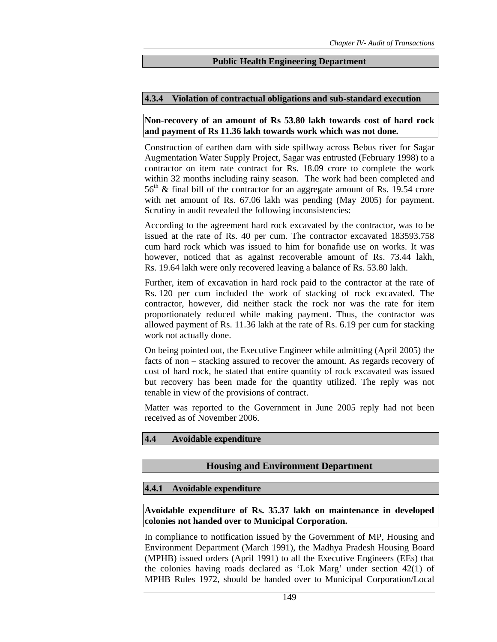### **Public Health Engineering Department**

### **4.3.4 Violation of contractual obligations and sub-standard execution**

### **Non-recovery of an amount of Rs 53.80 lakh towards cost of hard rock and payment of Rs 11.36 lakh towards work which was not done.**

Construction of earthen dam with side spillway across Bebus river for Sagar Augmentation Water Supply Project, Sagar was entrusted (February 1998) to a contractor on item rate contract for Rs. 18.09 crore to complete the work within 32 months including rainy season. The work had been completed and  $56<sup>th</sup>$  & final bill of the contractor for an aggregate amount of Rs. 19.54 crore with net amount of Rs. 67.06 lakh was pending (May 2005) for payment. Scrutiny in audit revealed the following inconsistencies:

According to the agreement hard rock excavated by the contractor, was to be issued at the rate of Rs. 40 per cum. The contractor excavated 183593.758 cum hard rock which was issued to him for bonafide use on works. It was however, noticed that as against recoverable amount of Rs. 73.44 lakh, Rs. 19.64 lakh were only recovered leaving a balance of Rs. 53.80 lakh.

Further, item of excavation in hard rock paid to the contractor at the rate of Rs. 120 per cum included the work of stacking of rock excavated. The contractor, however, did neither stack the rock nor was the rate for item proportionately reduced while making payment. Thus, the contractor was allowed payment of Rs. 11.36 lakh at the rate of Rs. 6.19 per cum for stacking work not actually done.

On being pointed out, the Executive Engineer while admitting (April 2005) the facts of non – stacking assured to recover the amount. As regards recovery of cost of hard rock, he stated that entire quantity of rock excavated was issued but recovery has been made for the quantity utilized. The reply was not tenable in view of the provisions of contract.

Matter was reported to the Government in June 2005 reply had not been received as of November 2006.

#### **4.4 Avoidable expenditure**

### **Housing and Environment Department**

#### **4.4.1 Avoidable expenditure**

**Avoidable expenditure of Rs. 35.37 lakh on maintenance in developed colonies not handed over to Municipal Corporation.** 

In compliance to notification issued by the Government of MP, Housing and Environment Department (March 1991), the Madhya Pradesh Housing Board (MPHB) issued orders (April 1991) to all the Executive Engineers (EEs) that the colonies having roads declared as 'Lok Marg' under section 42(1) of MPHB Rules 1972, should be handed over to Municipal Corporation/Local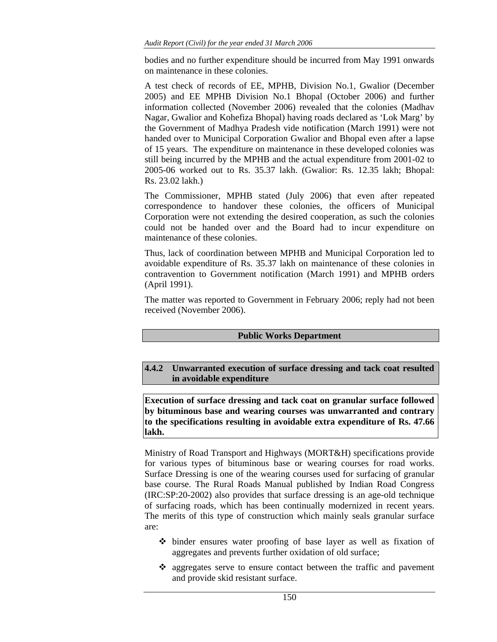bodies and no further expenditure should be incurred from May 1991 onwards on maintenance in these colonies.

A test check of records of EE, MPHB, Division No.1, Gwalior (December 2005) and EE MPHB Division No.1 Bhopal (October 2006) and further information collected (November 2006) revealed that the colonies (Madhav Nagar, Gwalior and Kohefiza Bhopal) having roads declared as 'Lok Marg' by the Government of Madhya Pradesh vide notification (March 1991) were not handed over to Municipal Corporation Gwalior and Bhopal even after a lapse of 15 years. The expenditure on maintenance in these developed colonies was still being incurred by the MPHB and the actual expenditure from 2001-02 to 2005-06 worked out to Rs. 35.37 lakh. (Gwalior: Rs. 12.35 lakh; Bhopal: Rs. 23.02 lakh.)

The Commissioner, MPHB stated (July 2006) that even after repeated correspondence to handover these colonies, the officers of Municipal Corporation were not extending the desired cooperation, as such the colonies could not be handed over and the Board had to incur expenditure on maintenance of these colonies.

Thus, lack of coordination between MPHB and Municipal Corporation led to avoidable expenditure of Rs. 35.37 lakh on maintenance of these colonies in contravention to Government notification (March 1991) and MPHB orders (April 1991).

The matter was reported to Government in February 2006; reply had not been received (November 2006).

### **Public Works Department**

# **4.4.2 Unwarranted execution of surface dressing and tack coat resulted in avoidable expenditure**

**Execution of surface dressing and tack coat on granular surface followed by bituminous base and wearing courses was unwarranted and contrary to the specifications resulting in avoidable extra expenditure of Rs. 47.66 lakh.** 

Ministry of Road Transport and Highways (MORT&H) specifications provide for various types of bituminous base or wearing courses for road works. Surface Dressing is one of the wearing courses used for surfacing of granular base course. The Rural Roads Manual published by Indian Road Congress (IRC:SP:20-2002) also provides that surface dressing is an age-old technique of surfacing roads, which has been continually modernized in recent years. The merits of this type of construction which mainly seals granular surface are:

- binder ensures water proofing of base layer as well as fixation of aggregates and prevents further oxidation of old surface;
- aggregates serve to ensure contact between the traffic and pavement and provide skid resistant surface.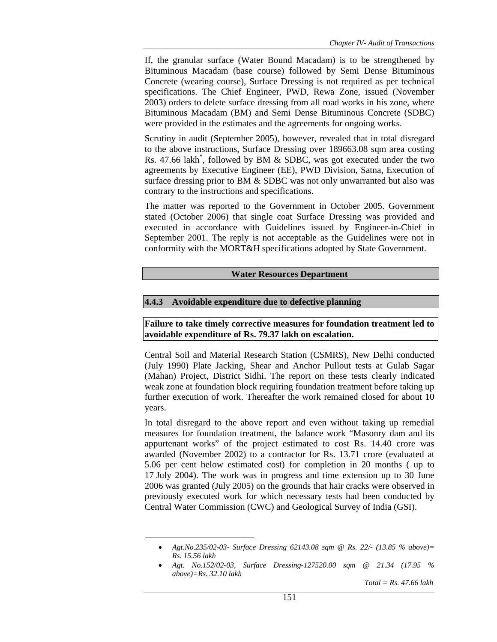If, the granular surface (Water Bound Macadam) is to be strengthened by Bituminous Macadam (base course) followed by Semi Dense Bituminous Concrete (wearing course), Surface Dressing is not required as per technical specifications. The Chief Engineer, PWD, Rewa Zone, issued (November 2003) orders to delete surface dressing from all road works in his zone, where Bituminous Macadam (BM) and Semi Dense Bituminous Concrete (SDBC) were provided in the estimates and the agreements for ongoing works.

Scrutiny in audit (September 2005), however, revealed that in total disregard to the above instructions, Surface Dressing over 189663.08 sqm area costing Rs. 47.66 lakh<sup>\*</sup>, followed by BM & SDBC, was got executed under the two agreements by Executive Engineer (EE), PWD Division, Satna, Execution of surface dressing prior to BM & SDBC was not only unwarranted but also was contrary to the instructions and specifications.

The matter was reported to the Government in October 2005. Government stated (October 2006) that single coat Surface Dressing was provided and executed in accordance with Guidelines issued by Engineer-in-Chief in September 2001. The reply is not acceptable as the Guidelines were not in conformity with the MORT&H specifications adopted by State Government.

### **Water Resources Department**

### **4.4.3 Avoidable expenditure due to defective planning**

**Failure to take timely corrective measures for foundation treatment led to avoidable expenditure of Rs. 79.37 lakh on escalation.** 

Central Soil and Material Research Station (CSMRS), New Delhi conducted (July 1990) Plate Jacking, Shear and Anchor Pullout tests at Gulab Sagar (Mahan) Project, District Sidhi. The report on these tests clearly indicated weak zone at foundation block requiring foundation treatment before taking up further execution of work. Thereafter the work remained closed for about 10 years.

In total disregard to the above report and even without taking up remedial measures for foundation treatment, the balance work "Masonry dam and its appurtenant works" of the project estimated to cost Rs. 14.40 crore was awarded (November 2002) to a contractor for Rs. 13.71 crore (evaluated at 5.06 per cent below estimated cost) for completion in 20 months ( up to 17 July 2004). The work was in progress and time extension up to 30 June 2006 was granted (July 2005) on the grounds that hair cracks were observed in previously executed work for which necessary tests had been conducted by Central Water Commission (CWC) and Geological Survey of India (GSI).

 $\overline{a}$ 

*Total = Rs. 47.66 lakh* 

<sup>•</sup> *Agt.No.235/02-03- Surface Dressing 62143.08 sqm @ Rs. 22/- (13.85 % above)= Rs. 15.56 lakh* 

<sup>•</sup> *Agt. No.152/02-03, Surface Dressing-127520.00 sqm @ 21.34 (17.95 % above)=Rs. 32.10 lakh*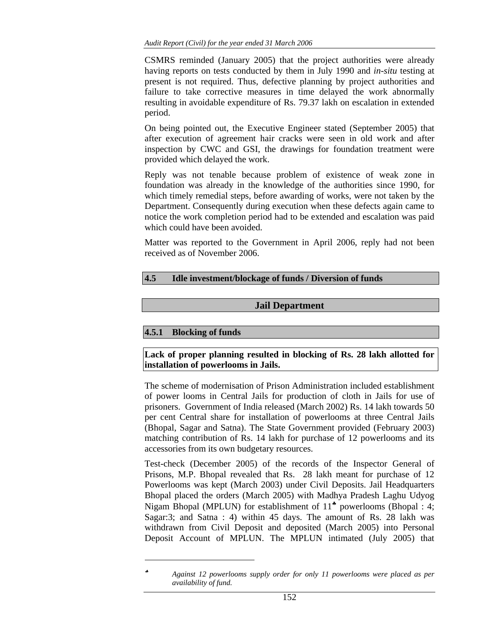CSMRS reminded (January 2005) that the project authorities were already having reports on tests conducted by them in July 1990 and *in-situ* testing at present is not required. Thus, defective planning by project authorities and failure to take corrective measures in time delayed the work abnormally resulting in avoidable expenditure of Rs. 79.37 lakh on escalation in extended period.

On being pointed out, the Executive Engineer stated (September 2005) that after execution of agreement hair cracks were seen in old work and after inspection by CWC and GSI, the drawings for foundation treatment were provided which delayed the work.

Reply was not tenable because problem of existence of weak zone in foundation was already in the knowledge of the authorities since 1990, for which timely remedial steps, before awarding of works, were not taken by the Department. Consequently during execution when these defects again came to notice the work completion period had to be extended and escalation was paid which could have been avoided.

Matter was reported to the Government in April 2006, reply had not been received as of November 2006.

# **4.5 Idle investment/blockage of funds / Diversion of funds**

# **Jail Department**

# **4.5.1 Blocking of funds**

l

### **Lack of proper planning resulted in blocking of Rs. 28 lakh allotted for installation of powerlooms in Jails.**

The scheme of modernisation of Prison Administration included establishment of power looms in Central Jails for production of cloth in Jails for use of prisoners. Government of India released (March 2002) Rs. 14 lakh towards 50 per cent Central share for installation of powerlooms at three Central Jails (Bhopal, Sagar and Satna). The State Government provided (February 2003) matching contribution of Rs. 14 lakh for purchase of 12 powerlooms and its accessories from its own budgetary resources.

Test-check (December 2005) of the records of the Inspector General of Prisons, M.P. Bhopal revealed that Rs. 28 lakh meant for purchase of 12 Powerlooms was kept (March 2003) under Civil Deposits. Jail Headquarters Bhopal placed the orders (March 2005) with Madhya Pradesh Laghu Udyog Nigam Bhopal (MPLUN) for establishment of 11<sup> $*$ </sup> powerlooms (Bhopal : 4; Sagar:3; and Satna : 4) within 45 days. The amount of Rs. 28 lakh was withdrawn from Civil Deposit and deposited (March 2005) into Personal Deposit Account of MPLUN. The MPLUN intimated (July 2005) that

<sup>♣</sup> *Against 12 powerlooms supply order for only 11 powerlooms were placed as per availability of fund.*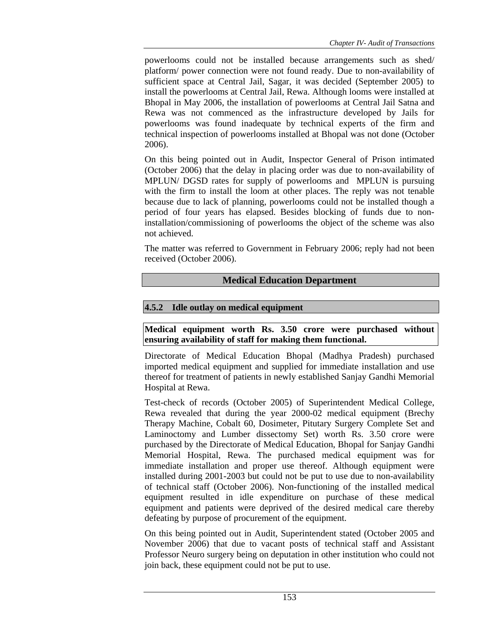powerlooms could not be installed because arrangements such as shed/ platform/ power connection were not found ready. Due to non-availability of sufficient space at Central Jail, Sagar, it was decided (September 2005) to install the powerlooms at Central Jail, Rewa. Although looms were installed at Bhopal in May 2006, the installation of powerlooms at Central Jail Satna and Rewa was not commenced as the infrastructure developed by Jails for powerlooms was found inadequate by technical experts of the firm and technical inspection of powerlooms installed at Bhopal was not done (October 2006).

On this being pointed out in Audit, Inspector General of Prison intimated (October 2006) that the delay in placing order was due to non-availability of MPLUN/ DGSD rates for supply of powerlooms and MPLUN is pursuing with the firm to install the loom at other places. The reply was not tenable because due to lack of planning, powerlooms could not be installed though a period of four years has elapsed. Besides blocking of funds due to noninstallation/commissioning of powerlooms the object of the scheme was also not achieved.

The matter was referred to Government in February 2006; reply had not been received (October 2006).

# **Medical Education Department**

# **4.5.2 Idle outlay on medical equipment**

**Medical equipment worth Rs. 3.50 crore were purchased without ensuring availability of staff for making them functional.** 

Directorate of Medical Education Bhopal (Madhya Pradesh) purchased imported medical equipment and supplied for immediate installation and use thereof for treatment of patients in newly established Sanjay Gandhi Memorial Hospital at Rewa.

Test-check of records (October 2005) of Superintendent Medical College, Rewa revealed that during the year 2000-02 medical equipment (Brechy Therapy Machine, Cobalt 60, Dosimeter, Pitutary Surgery Complete Set and Laminoctomy and Lumber dissectomy Set) worth Rs. 3.50 crore were purchased by the Directorate of Medical Education, Bhopal for Sanjay Gandhi Memorial Hospital, Rewa. The purchased medical equipment was for immediate installation and proper use thereof. Although equipment were installed during 2001-2003 but could not be put to use due to non-availability of technical staff (October 2006). Non-functioning of the installed medical equipment resulted in idle expenditure on purchase of these medical equipment and patients were deprived of the desired medical care thereby defeating by purpose of procurement of the equipment.

On this being pointed out in Audit, Superintendent stated (October 2005 and November 2006) that due to vacant posts of technical staff and Assistant Professor Neuro surgery being on deputation in other institution who could not join back, these equipment could not be put to use.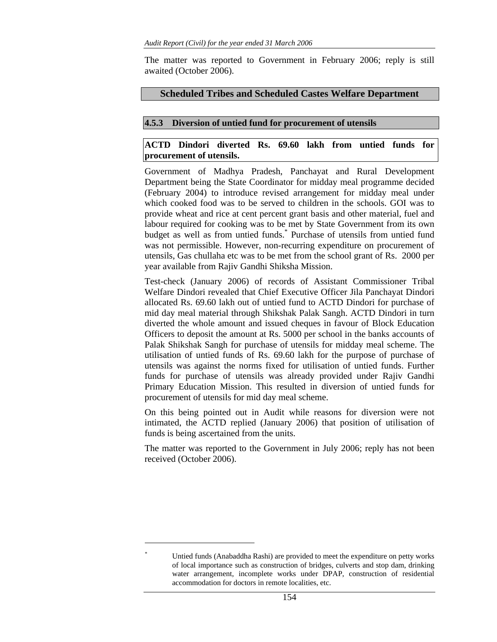The matter was reported to Government in February 2006; reply is still awaited (October 2006).

# **Scheduled Tribes and Scheduled Castes Welfare Department**

# **4.5.3 Diversion of untied fund for procurement of utensils**

# **ACTD Dindori diverted Rs. 69.60 lakh from untied funds for procurement of utensils.**

Government of Madhya Pradesh, Panchayat and Rural Development Department being the State Coordinator for midday meal programme decided (February 2004) to introduce revised arrangement for midday meal under which cooked food was to be served to children in the schools. GOI was to provide wheat and rice at cent percent grant basis and other material, fuel and labour required for cooking was to be met by State Government from its own budget as well as from untied funds.\* Purchase of utensils from untied fund was not permissible. However, non-recurring expenditure on procurement of utensils, Gas chullaha etc was to be met from the school grant of Rs. 2000 per year available from Rajiv Gandhi Shiksha Mission.

Test-check (January 2006) of records of Assistant Commissioner Tribal Welfare Dindori revealed that Chief Executive Officer Jila Panchayat Dindori allocated Rs. 69.60 lakh out of untied fund to ACTD Dindori for purchase of mid day meal material through Shikshak Palak Sangh. ACTD Dindori in turn diverted the whole amount and issued cheques in favour of Block Education Officers to deposit the amount at Rs. 5000 per school in the banks accounts of Palak Shikshak Sangh for purchase of utensils for midday meal scheme. The utilisation of untied funds of Rs. 69.60 lakh for the purpose of purchase of utensils was against the norms fixed for utilisation of untied funds. Further funds for purchase of utensils was already provided under Rajiv Gandhi Primary Education Mission. This resulted in diversion of untied funds for procurement of utensils for mid day meal scheme.

On this being pointed out in Audit while reasons for diversion were not intimated, the ACTD replied (January 2006) that position of utilisation of funds is being ascertained from the units.

The matter was reported to the Government in July 2006; reply has not been received (October 2006).

l *\**

Untied funds (Anabaddha Rashi) are provided to meet the expenditure on petty works of local importance such as construction of bridges, culverts and stop dam, drinking water arrangement, incomplete works under DPAP, construction of residential accommodation for doctors in remote localities, etc.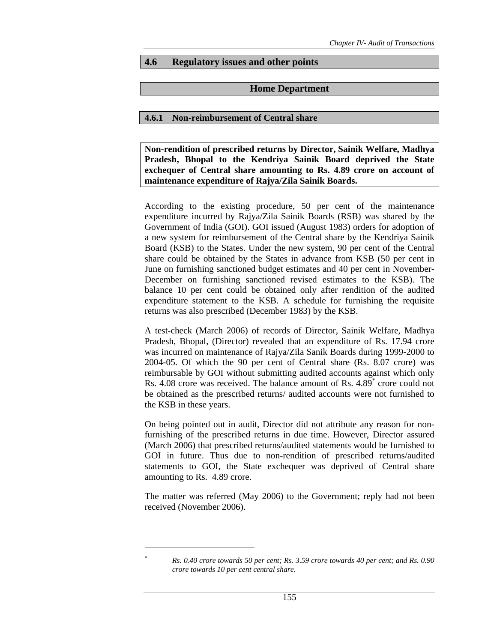### **4.6 Regulatory issues and other points**

### **Home Department**

### **4.6.1 Non-reimbursement of Central share**

**Non-rendition of prescribed returns by Director, Sainik Welfare, Madhya Pradesh, Bhopal to the Kendriya Sainik Board deprived the State exchequer of Central share amounting to Rs. 4.89 crore on account of maintenance expenditure of Rajya/Zila Sainik Boards.** 

According to the existing procedure, 50 per cent of the maintenance expenditure incurred by Rajya/Zila Sainik Boards (RSB) was shared by the Government of India (GOI). GOI issued (August 1983) orders for adoption of a new system for reimbursement of the Central share by the Kendriya Sainik Board (KSB) to the States. Under the new system, 90 per cent of the Central share could be obtained by the States in advance from KSB (50 per cent in June on furnishing sanctioned budget estimates and 40 per cent in November-December on furnishing sanctioned revised estimates to the KSB). The balance 10 per cent could be obtained only after rendition of the audited expenditure statement to the KSB. A schedule for furnishing the requisite returns was also prescribed (December 1983) by the KSB.

A test-check (March 2006) of records of Director, Sainik Welfare, Madhya Pradesh, Bhopal, (Director) revealed that an expenditure of Rs. 17.94 crore was incurred on maintenance of Rajya/Zila Sanik Boards during 1999-2000 to 2004-05. Of which the 90 per cent of Central share (Rs. 8.07 crore) was reimbursable by GOI without submitting audited accounts against which only Rs. 4.08 crore was received. The balance amount of Rs. 4.89\* crore could not be obtained as the prescribed returns/ audited accounts were not furnished to the KSB in these years.

On being pointed out in audit, Director did not attribute any reason for nonfurnishing of the prescribed returns in due time. However, Director assured (March 2006) that prescribed returns/audited statements would be furnished to GOI in future. Thus due to non-rendition of prescribed returns/audited statements to GOI, the State exchequer was deprived of Central share amounting to Rs. 4.89 crore.

The matter was referred (May 2006) to the Government; reply had not been received (November 2006).

 $\overline{a}$ *\**

*Rs. 0.40 crore towards 50 per cent; Rs. 3.59 crore towards 40 per cent; and Rs. 0.90 crore towards 10 per cent central share.*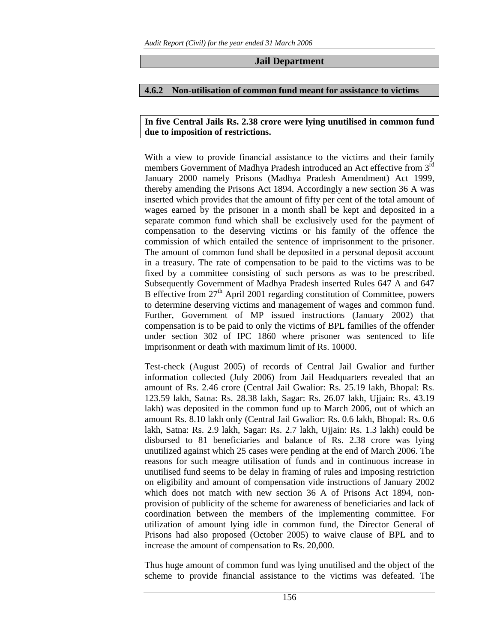# **Jail Department**

### **4.6.2 Non-utilisation of common fund meant for assistance to victims**

### **In five Central Jails Rs. 2.38 crore were lying unutilised in common fund due to imposition of restrictions.**

With a view to provide financial assistance to the victims and their family members Government of Madhya Pradesh introduced an Act effective from 3<sup>rd</sup> January 2000 namely Prisons (Madhya Pradesh Amendment) Act 1999, thereby amending the Prisons Act 1894. Accordingly a new section 36 A was inserted which provides that the amount of fifty per cent of the total amount of wages earned by the prisoner in a month shall be kept and deposited in a separate common fund which shall be exclusively used for the payment of compensation to the deserving victims or his family of the offence the commission of which entailed the sentence of imprisonment to the prisoner. The amount of common fund shall be deposited in a personal deposit account in a treasury. The rate of compensation to be paid to the victims was to be fixed by a committee consisting of such persons as was to be prescribed. Subsequently Government of Madhya Pradesh inserted Rules 647 A and 647 B effective from  $27<sup>th</sup>$  April 2001 regarding constitution of Committee, powers to determine deserving victims and management of wages and common fund. Further, Government of MP issued instructions (January 2002) that compensation is to be paid to only the victims of BPL families of the offender under section 302 of IPC 1860 where prisoner was sentenced to life imprisonment or death with maximum limit of Rs. 10000.

Test-check (August 2005) of records of Central Jail Gwalior and further information collected (July 2006) from Jail Headquarters revealed that an amount of Rs. 2.46 crore (Central Jail Gwalior: Rs. 25.19 lakh, Bhopal: Rs. 123.59 lakh, Satna: Rs. 28.38 lakh, Sagar: Rs. 26.07 lakh, Ujjain: Rs. 43.19 lakh) was deposited in the common fund up to March 2006, out of which an amount Rs. 8.10 lakh only (Central Jail Gwalior: Rs. 0.6 lakh, Bhopal: Rs. 0.6 lakh, Satna: Rs. 2.9 lakh, Sagar: Rs. 2.7 lakh, Ujjain: Rs. 1.3 lakh) could be disbursed to 81 beneficiaries and balance of Rs. 2.38 crore was lying unutilized against which 25 cases were pending at the end of March 2006. The reasons for such meagre utilisation of funds and in continuous increase in unutilised fund seems to be delay in framing of rules and imposing restriction on eligibility and amount of compensation vide instructions of January 2002 which does not match with new section 36 A of Prisons Act 1894, nonprovision of publicity of the scheme for awareness of beneficiaries and lack of coordination between the members of the implementing committee. For utilization of amount lying idle in common fund, the Director General of Prisons had also proposed (October 2005) to waive clause of BPL and to increase the amount of compensation to Rs. 20,000.

Thus huge amount of common fund was lying unutilised and the object of the scheme to provide financial assistance to the victims was defeated. The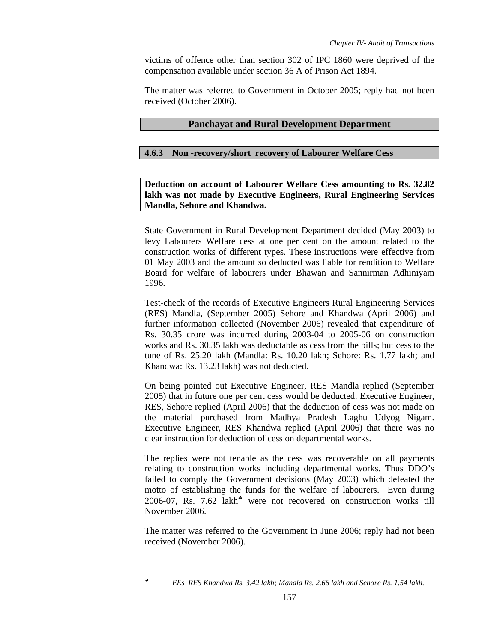victims of offence other than section 302 of IPC 1860 were deprived of the compensation available under section 36 A of Prison Act 1894.

The matter was referred to Government in October 2005; reply had not been received (October 2006).

### **Panchayat and Rural Development Department**

### **4.6.3 Non -recovery/short recovery of Labourer Welfare Cess**

**Deduction on account of Labourer Welfare Cess amounting to Rs. 32.82 lakh was not made by Executive Engineers, Rural Engineering Services Mandla, Sehore and Khandwa.** 

State Government in Rural Development Department decided (May 2003) to levy Labourers Welfare cess at one per cent on the amount related to the construction works of different types. These instructions were effective from 01 May 2003 and the amount so deducted was liable for rendition to Welfare Board for welfare of labourers under Bhawan and Sannirman Adhiniyam 1996.

Test-check of the records of Executive Engineers Rural Engineering Services (RES) Mandla, (September 2005) Sehore and Khandwa (April 2006) and further information collected (November 2006) revealed that expenditure of Rs. 30.35 crore was incurred during 2003-04 to 2005-06 on construction works and Rs. 30.35 lakh was deductable as cess from the bills; but cess to the tune of Rs. 25.20 lakh (Mandla: Rs. 10.20 lakh; Sehore: Rs. 1.77 lakh; and Khandwa: Rs. 13.23 lakh) was not deducted.

On being pointed out Executive Engineer, RES Mandla replied (September 2005) that in future one per cent cess would be deducted. Executive Engineer, RES, Sehore replied (April 2006) that the deduction of cess was not made on the material purchased from Madhya Pradesh Laghu Udyog Nigam. Executive Engineer, RES Khandwa replied (April 2006) that there was no clear instruction for deduction of cess on departmental works.

The replies were not tenable as the cess was recoverable on all payments relating to construction works including departmental works. Thus DDO's failed to comply the Government decisions (May 2003) which defeated the motto of establishing the funds for the welfare of labourers. Even during 2006-07, Rs. 7.62 lakh<sup>\*</sup> were not recovered on construction works till November 2006.

The matter was referred to the Government in June 2006; reply had not been received (November 2006).

 $\overline{a}$ 

<sup>♣</sup> *EEs RES Khandwa Rs. 3.42 lakh; Mandla Rs. 2.66 lakh and Sehore Rs. 1.54 lakh.*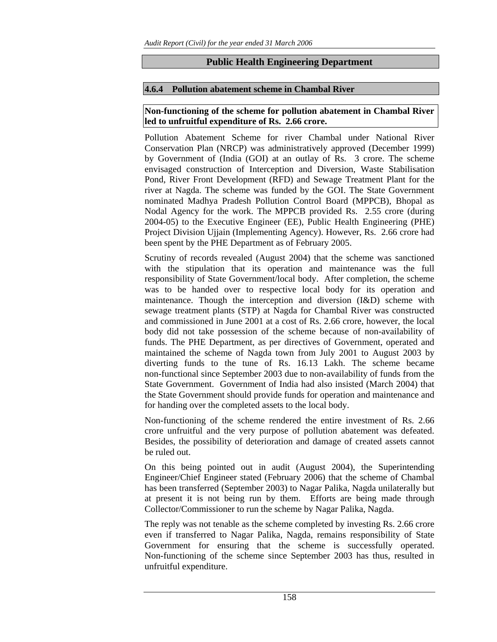# **Public Health Engineering Department**

# **4.6.4 Pollution abatement scheme in Chambal River**

# **Non-functioning of the scheme for pollution abatement in Chambal River led to unfruitful expenditure of Rs. 2.66 crore.**

Pollution Abatement Scheme for river Chambal under National River Conservation Plan (NRCP) was administratively approved (December 1999) by Government of (India (GOI) at an outlay of Rs. 3 crore. The scheme envisaged construction of Interception and Diversion, Waste Stabilisation Pond, River Front Development (RFD) and Sewage Treatment Plant for the river at Nagda. The scheme was funded by the GOI. The State Government nominated Madhya Pradesh Pollution Control Board (MPPCB), Bhopal as Nodal Agency for the work. The MPPCB provided Rs. 2.55 crore (during 2004-05) to the Executive Engineer (EE), Public Health Engineering (PHE) Project Division Ujjain (Implementing Agency). However, Rs. 2.66 crore had been spent by the PHE Department as of February 2005.

Scrutiny of records revealed (August 2004) that the scheme was sanctioned with the stipulation that its operation and maintenance was the full responsibility of State Government/local body. After completion, the scheme was to be handed over to respective local body for its operation and maintenance. Though the interception and diversion (I&D) scheme with sewage treatment plants (STP) at Nagda for Chambal River was constructed and commissioned in June 2001 at a cost of Rs. 2.66 crore, however, the local body did not take possession of the scheme because of non-availability of funds. The PHE Department, as per directives of Government, operated and maintained the scheme of Nagda town from July 2001 to August 2003 by diverting funds to the tune of Rs. 16.13 Lakh. The scheme became non-functional since September 2003 due to non-availability of funds from the State Government. Government of India had also insisted (March 2004) that the State Government should provide funds for operation and maintenance and for handing over the completed assets to the local body.

Non-functioning of the scheme rendered the entire investment of Rs. 2.66 crore unfruitful and the very purpose of pollution abatement was defeated. Besides, the possibility of deterioration and damage of created assets cannot be ruled out.

On this being pointed out in audit (August 2004), the Superintending Engineer/Chief Engineer stated (February 2006) that the scheme of Chambal has been transferred (September 2003) to Nagar Palika, Nagda unilaterally but at present it is not being run by them. Efforts are being made through Collector/Commissioner to run the scheme by Nagar Palika, Nagda.

The reply was not tenable as the scheme completed by investing Rs. 2.66 crore even if transferred to Nagar Palika, Nagda, remains responsibility of State Government for ensuring that the scheme is successfully operated. Non-functioning of the scheme since September 2003 has thus, resulted in unfruitful expenditure.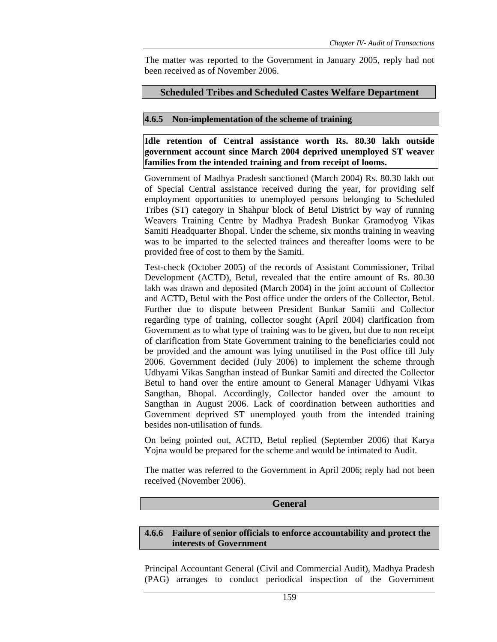The matter was reported to the Government in January 2005, reply had not been received as of November 2006.

### **Scheduled Tribes and Scheduled Castes Welfare Department**

### **4.6.5 Non-implementation of the scheme of training**

**Idle retention of Central assistance worth Rs. 80.30 lakh outside government account since March 2004 deprived unemployed ST weaver families from the intended training and from receipt of looms.** 

Government of Madhya Pradesh sanctioned (March 2004) Rs. 80.30 lakh out of Special Central assistance received during the year, for providing self employment opportunities to unemployed persons belonging to Scheduled Tribes (ST) category in Shahpur block of Betul District by way of running Weavers Training Centre by Madhya Pradesh Bunkar Gramodyog Vikas Samiti Headquarter Bhopal. Under the scheme, six months training in weaving was to be imparted to the selected trainees and thereafter looms were to be provided free of cost to them by the Samiti.

Test-check (October 2005) of the records of Assistant Commissioner, Tribal Development (ACTD), Betul, revealed that the entire amount of Rs. 80.30 lakh was drawn and deposited (March 2004) in the joint account of Collector and ACTD, Betul with the Post office under the orders of the Collector, Betul. Further due to dispute between President Bunkar Samiti and Collector regarding type of training, collector sought (April 2004) clarification from Government as to what type of training was to be given, but due to non receipt of clarification from State Government training to the beneficiaries could not be provided and the amount was lying unutilised in the Post office till July 2006. Government decided (July 2006) to implement the scheme through Udhyami Vikas Sangthan instead of Bunkar Samiti and directed the Collector Betul to hand over the entire amount to General Manager Udhyami Vikas Sangthan, Bhopal. Accordingly, Collector handed over the amount to Sangthan in August 2006. Lack of coordination between authorities and Government deprived ST unemployed youth from the intended training besides non-utilisation of funds.

On being pointed out, ACTD, Betul replied (September 2006) that Karya Yojna would be prepared for the scheme and would be intimated to Audit.

The matter was referred to the Government in April 2006; reply had not been received (November 2006).

### **General**

### **4.6.6 Failure of senior officials to enforce accountability and protect the interests of Government**

Principal Accountant General (Civil and Commercial Audit), Madhya Pradesh (PAG) arranges to conduct periodical inspection of the Government